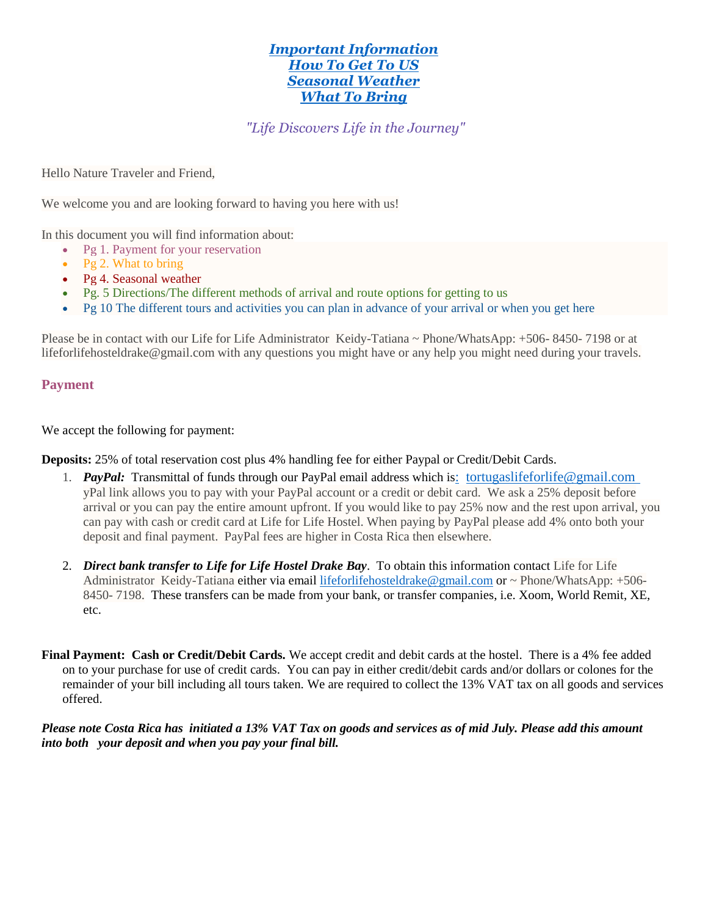# *[Important Information](https://www.lifeforlifehosteldrakebay.com/arrival-information) [How To Get To US](https://www.lifeforlifehosteldrakebay.com/arrival-information) [Seasonal Weather](https://www.lifeforlifehosteldrakebay.com/arrival-information) [What To Bring](https://www.lifeforlifehosteldrakebay.com/arrival-information)*

*"Life Discovers Life in the Journey"*

Hello Nature Traveler and Friend,

We welcome you and are looking forward to having you here with us!

In this document you will find information about:

- Pg 1. Payment for your reservation
- Pg 2. What to bring
- Pg 4. Seasonal weather
- Pg. 5 Directions/The different methods of arrival and route options for getting to us
- Pg 10 The different tours and activities you can plan in advance of your arrival or when you get here

Please be in contact with our Life for Life Administrator Keidy-Tatiana ~ Phone/WhatsApp: +506- 8450- 7198 or at lifeforlifehosteldrake@gmail.com with any questions you might have or any help you might need during your travels.

# **Payment**

We accept the following for payment:

**Deposits:** 25% of total reservation cost plus 4% handling fee for either Paypal or Credit/Debit Cards.

- 1. *PayPal:* Transmittal of funds through our PayPal email address which is: [tortugaslifeforlife@gmail.com](file:///C:/Users/Azura/Documents/Ricardo%20Life%20for%20Life/website/:%20%20tortugaslifeforlife@gmail.com ) yPal link allows you to pay with your PayPal account or a credit or debit card. We ask a 25% deposit before arrival or you can pay the entire amount upfront. If you would like to pay 25% now and the rest upon arrival, you can pay with cash or credit card at Life for Life Hostel. When paying by PayPal please add 4% onto both your deposit and final payment. PayPal fees are higher in Costa Rica then elsewhere.
- 2. *Direct bank transfer to Life for Life Hostel Drake Bay*. To obtain this information contact Life for Life Administrator Keidy-Tatiana either via email [lifeforlifehosteldrake@gmail.com](mailto:lifeforlifehosteldrake@gmail.com) or ~ Phone/WhatsApp: +506- 8450- 7198. These transfers can be made from your bank, or transfer companies, i.e. Xoom, World Remit, XE, etc.
- **Final Payment: Cash or Credit/Debit Cards.** We accept credit and debit cards at the hostel. There is a 4% fee added on to your purchase for use of credit cards. You can pay in either credit/debit cards and/or dollars or colones for the remainder of your bill including all tours taken. We are required to collect the 13% VAT tax on all goods and services offered.

## *Please note Costa Rica has initiated a 13% VAT Tax on goods and services as of mid July. Please add this amount into both your deposit and when you pay your final bill.*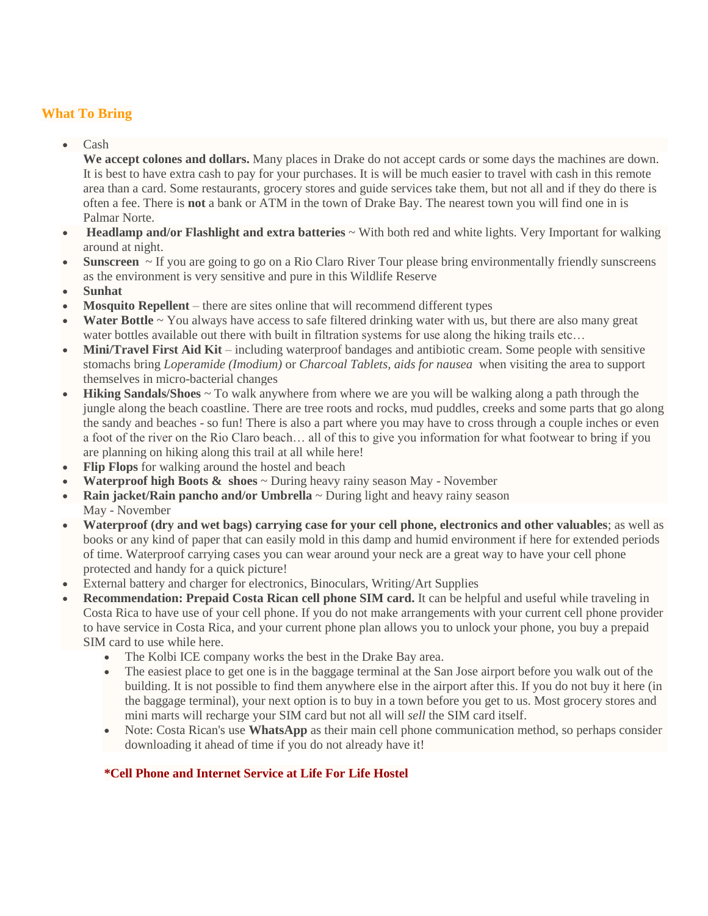# **What To Bring**

Cash

**We accept colones and dollars.** Many places in Drake do not accept cards or some days the machines are down. It is best to have extra cash to pay for your purchases. It is will be much easier to travel with cash in this remote area than a card. Some restaurants, grocery stores and guide services take them, but not all and if they do there is often a fee. There is **not** a bank or ATM in the town of Drake Bay. The nearest town you will find one in is Palmar Norte.

- **Headlamp and/or Flashlight and extra batteries** ~ With both red and white lights. Very Important for walking around at night.
- **Sunscreen** ~ If you are going to go on a Rio Claro River Tour please bring environmentally friendly sunscreens as the environment is very sensitive and pure in this Wildlife Reserve
- **Sunhat**
- **Mosquito Repellent** there are sites online that will recommend different types
- Water Bottle ~ You always have access to safe filtered drinking water with us, but there are also many great water bottles available out there with built in filtration systems for use along the hiking trails etc...
- **Mini/Travel First Aid Kit** including waterproof bandages and antibiotic cream. Some people with sensitive stomachs bring *Loperamide (Imodium)* or *Charcoal Tablets, aids for nausea* when visiting the area to support themselves in micro-bacterial changes
- **Hiking Sandals/Shoes** ~ To walk anywhere from where we are you will be walking along a path through the jungle along the beach coastline. There are tree roots and rocks, mud puddles, creeks and some parts that go along the sandy and beaches - so fun! There is also a part where you may have to cross through a couple inches or even a foot of the river on the Rio Claro beach… all of this to give you information for what footwear to bring if you are planning on hiking along this trail at all while here!
- **Flip Flops** for walking around the hostel and beach
- **Waterproof high Boots & shoes** ~ During heavy rainy season May November
- Rain jacket/Rain pancho and/or Umbrella ~ During light and heavy rainy season May - November
- **Waterproof (dry and wet bags) carrying case for your cell phone, electronics and other valuables**; as well as books or any kind of paper that can easily mold in this damp and humid environment if here for extended periods of time. Waterproof carrying cases you can wear around your neck are a great way to have your cell phone protected and handy for a quick picture!
- External battery and charger for electronics, Binoculars, Writing/Art Supplies
- **Recommendation: Prepaid Costa Rican cell phone SIM card.** It can be helpful and useful while traveling in Costa Rica to have use of your cell phone. If you do not make arrangements with your current cell phone provider to have service in Costa Rica, and your current phone plan allows you to unlock your phone, you buy a prepaid SIM card to use while here.
	- The Kolbi ICE company works the best in the Drake Bay area.
	- The easiest place to get one is in the baggage terminal at the San Jose airport before you walk out of the building. It is not possible to find them anywhere else in the airport after this. If you do not buy it here (in the baggage terminal), your next option is to buy in a town before you get to us. Most grocery stores and mini marts will recharge your SIM card but not all will *sell* the SIM card itself.
	- Note: Costa Rican's use **WhatsApp** as their main cell phone communication method, so perhaps consider downloading it ahead of time if you do not already have it!

# **\*Cell Phone and Internet Service at Life For Life Hostel**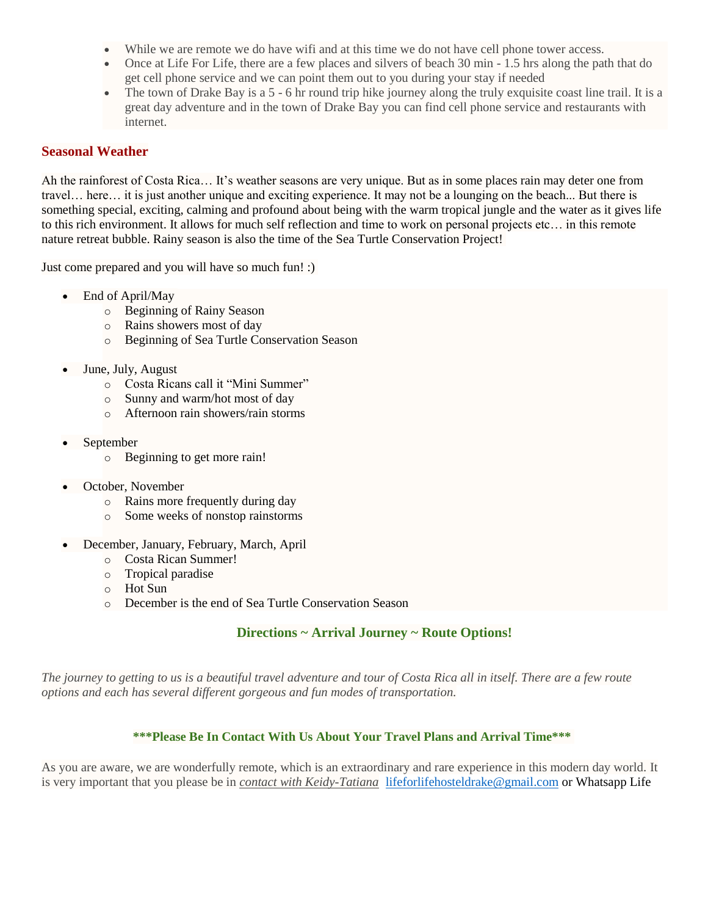- While we are remote we do have wifi and at this time we do not have cell phone tower access.
- Once at Life For Life, there are a few places and silvers of beach 30 min 1.5 hrs along the path that do get cell phone service and we can point them out to you during your stay if needed
- The town of Drake Bay is a 5 6 hr round trip hike journey along the truly exquisite coast line trail. It is a great day adventure and in the town of Drake Bay you can find cell phone service and restaurants with internet.

# **Seasonal Weather**

Ah the rainforest of Costa Rica… It's weather seasons are very unique. But as in some places rain may deter one from travel… here… it is just another unique and exciting experience. It may not be a lounging on the beach... But there is something special, exciting, calming and profound about being with the warm tropical jungle and the water as it gives life to this rich environment. It allows for much self reflection and time to work on personal projects etc… in this remote nature retreat bubble. Rainy season is also the time of the Sea Turtle Conservation Project!

Just come prepared and you will have so much fun! :)

- End of April/May
	- o Beginning of Rainy Season
	- o Rains showers most of day
	- o Beginning of Sea Turtle Conservation Season
- June, July, August
	- o Costa Ricans call it "Mini Summer"
	- o Sunny and warm/hot most of day
	- o Afternoon rain showers/rain storms
- September
	- o Beginning to get more rain!
- October, November
	- o Rains more frequently during day
	- o Some weeks of nonstop rainstorms
- December, January, February, March, April
	- o Costa Rican Summer!
	- o Tropical paradise
	- o Hot Sun
	- o December is the end of Sea Turtle Conservation Season

# **Directions ~ Arrival Journey ~ Route Options!**

*The journey to getting to us is a beautiful travel adventure and tour of Costa Rica all in itself. There are a few route options and each has several different gorgeous and fun modes of transportation.*

## **\*\*\*Please Be In Contact With Us About Your Travel Plans and Arrival Time\*\*\***

As you are aware, we are wonderfully remote, which is an extraordinary and rare experience in this modern day world. It is very important that you please be in *[contact with Keidy-Tatiana](https://editor.wix.com/html/editor/web/renderer/render/document/dfa3837c-46f0-47dc-ba54-d7835fbc2607/contact?dsOrigin=Editor1.4&editorSessionId=e626a069-b419-494d-9458-946386298353&esi=e626a069-b419-494d-9458-946386298353&isEdited=true&isSantaEditor=true&lang=en&metaSiteId=1078c805-8357-4b79-bafc-4789b623982a)* [lifeforlifehosteldrake@gmail.com](mailto:lifeforlifehosteldrake@gmail.com) or Whatsapp Life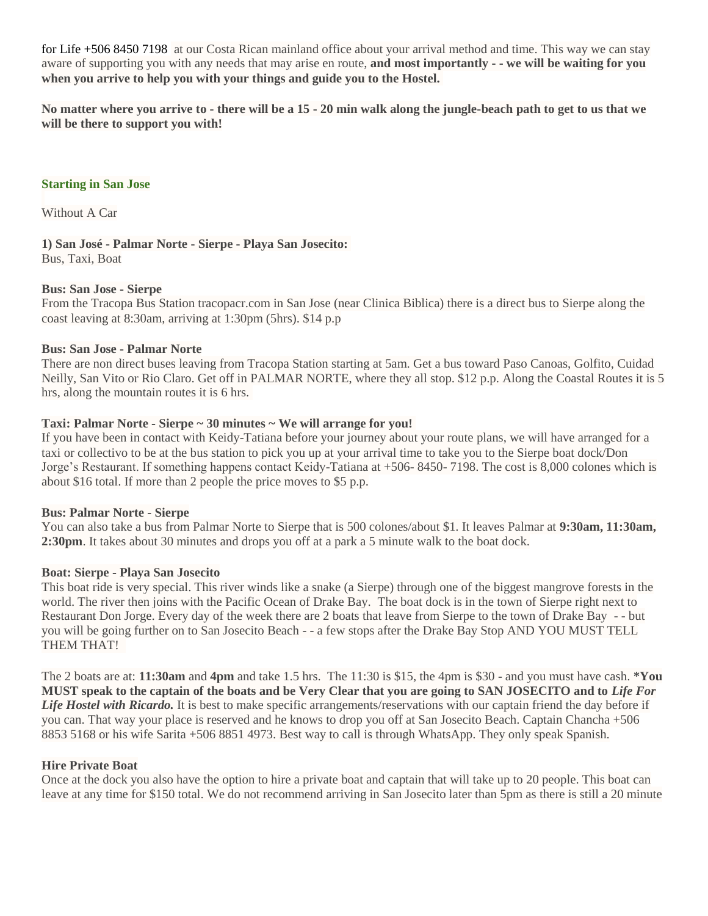for Life +506 8450 7198 at our Costa Rican mainland office about your arrival method and time. This way we can stay aware of supporting you with any needs that may arise en route, **and most importantly - - we will be waiting for you when you arrive to help you with your things and guide you to the Hostel.**

**No matter where you arrive to - there will be a 15 - 20 min walk along the jungle-beach path to get to us that we will be there to support you with!**

## **Starting in San Jose**

Without A Car

**1) San José - Palmar Norte - Sierpe - Playa San Josecito:** Bus, Taxi, Boat

#### **Bus: San Jose - Sierpe**

From the Tracopa Bus Station tracopacr.com in San Jose (near Clinica Biblica) there is a direct bus to Sierpe along the coast leaving at 8:30am, arriving at 1:30pm (5hrs). \$14 p.p

#### **Bus: San Jose - Palmar Norte**

There are non direct buses leaving from Tracopa Station starting at 5am. Get a bus toward Paso Canoas, Golfito, Cuidad Neilly, San Vito or Rio Claro. Get off in PALMAR NORTE, where they all stop. \$12 p.p. Along the Coastal Routes it is 5 hrs, along the mountain routes it is 6 hrs.

## **Taxi: Palmar Norte - Sierpe ~ 30 minutes ~ We will arrange for you!**

If you have been in contact with Keidy-Tatiana before your journey about your route plans, we will have arranged for a taxi or collectivo to be at the bus station to pick you up at your arrival time to take you to the Sierpe boat dock/Don Jorge's Restaurant. If something happens contact Keidy-Tatiana at +506- 8450- 7198. The cost is 8,000 colones which is about \$16 total. If more than 2 people the price moves to \$5 p.p.

#### **Bus: Palmar Norte - Sierpe**

You can also take a bus from Palmar Norte to Sierpe that is 500 colones/about \$1. It leaves Palmar at **9:30am, 11:30am, 2:30pm**. It takes about 30 minutes and drops you off at a park a 5 minute walk to the boat dock.

#### **Boat: Sierpe - Playa San Josecito**

This boat ride is very special. This river winds like a snake (a Sierpe) through one of the biggest mangrove forests in the world. The river then joins with the Pacific Ocean of Drake Bay. The boat dock is in the town of Sierpe right next to Restaurant Don Jorge. Every day of the week there are 2 boats that leave from Sierpe to the town of Drake Bay - - but you will be going further on to San Josecito Beach - - a few stops after the Drake Bay Stop AND YOU MUST TELL THEM THAT!

The 2 boats are at: **11:30am** and **4pm** and take 1.5 hrs. The 11:30 is \$15, the 4pm is \$30 - and you must have cash. **\*You MUST speak to the captain of the boats and be Very Clear that you are going to SAN JOSECITO and to** *Life For Life Hostel with Ricardo.* It is best to make specific arrangements/reservations with our captain friend the day before if you can. That way your place is reserved and he knows to drop you off at San Josecito Beach. Captain Chancha +506 8853 5168 or his wife Sarita +506 8851 4973. Best way to call is through WhatsApp. They only speak Spanish.

#### **Hire Private Boat**

Once at the dock you also have the option to hire a private boat and captain that will take up to 20 people. This boat can leave at any time for \$150 total. We do not recommend arriving in San Josecito later than 5pm as there is still a 20 minute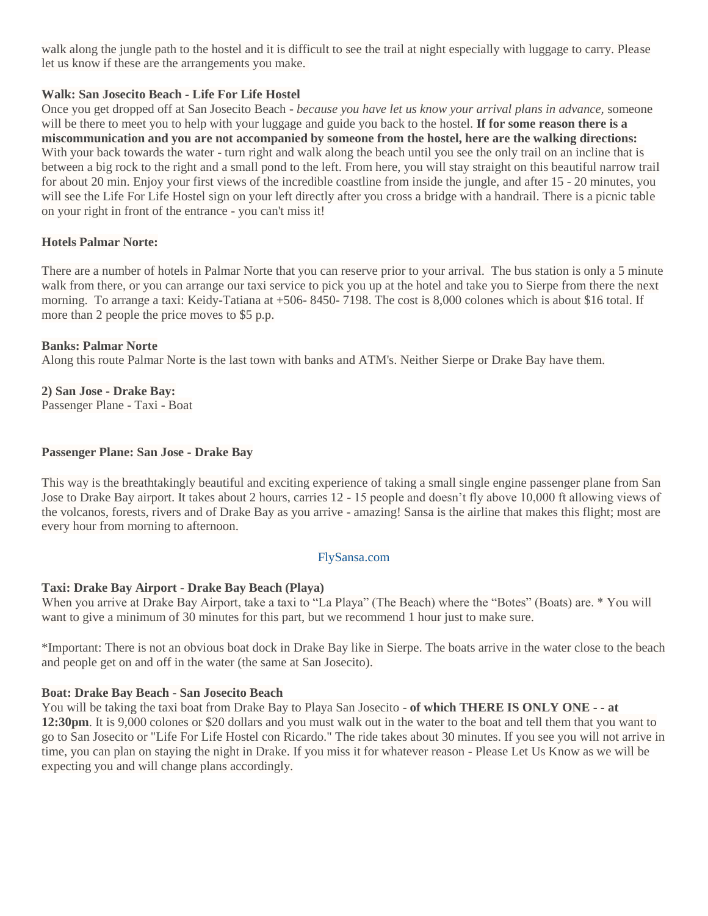walk along the jungle path to the hostel and it is difficult to see the trail at night especially with luggage to carry. Please let us know if these are the arrangements you make.

# **Walk: San Josecito Beach - Life For Life Hostel**

Once you get dropped off at San Josecito Beach - *because you have let us know your arrival plans in advance,* someone will be there to meet you to help with your luggage and guide you back to the hostel. **If for some reason there is a miscommunication and you are not accompanied by someone from the hostel, here are the walking directions:**  With your back towards the water - turn right and walk along the beach until you see the only trail on an incline that is between a big rock to the right and a small pond to the left. From here, you will stay straight on this beautiful narrow trail for about 20 min. Enjoy your first views of the incredible coastline from inside the jungle, and after 15 - 20 minutes, you will see the Life For Life Hostel sign on your left directly after you cross a bridge with a handrail. There is a picnic table on your right in front of the entrance - you can't miss it!

# **Hotels Palmar Norte:**

There are a number of hotels in Palmar Norte that you can reserve prior to your arrival. The bus station is only a 5 minute walk from there, or you can arrange our taxi service to pick you up at the hotel and take you to Sierpe from there the next morning. To arrange a taxi: Keidy-Tatiana at  $+506-8450-7198$ . The cost is 8,000 colones which is about \$16 total. If more than 2 people the price moves to \$5 p.p.

## **Banks: Palmar Norte**

Along this route Palmar Norte is the last town with banks and ATM's. Neither Sierpe or Drake Bay have them.

# **2) San Jose - Drake Bay:**

Passenger Plane - Taxi - Boat

## **Passenger Plane: San Jose - Drake Bay**

This way is the breathtakingly beautiful and exciting experience of taking a small single engine passenger plane from San Jose to Drake Bay airport. It takes about 2 hours, carries 12 - 15 people and doesn't fly above 10,000 ft allowing views of the volcanos, forests, rivers and of Drake Bay as you arrive - amazing! Sansa is the airline that makes this flight; most are every hour from morning to afternoon.

## FlySansa.com

## **Taxi: Drake Bay Airport - Drake Bay Beach (Playa)**

When you arrive at Drake Bay Airport, take a taxi to "La Playa" (The Beach) where the "Botes" (Boats) are. \* You will want to give a minimum of 30 minutes for this part, but we recommend 1 hour just to make sure.

\*Important: There is not an obvious boat dock in Drake Bay like in Sierpe. The boats arrive in the water close to the beach and people get on and off in the water (the same at San Josecito).

## **Boat: Drake Bay Beach - San Josecito Beach**

You will be taking the taxi boat from Drake Bay to Playa San Josecito - **of which THERE IS ONLY ONE - - at 12:30pm**. It is 9,000 colones or \$20 dollars and you must walk out in the water to the boat and tell them that you want to go to San Josecito or "Life For Life Hostel con Ricardo." The ride takes about 30 minutes. If you see you will not arrive in time, you can plan on staying the night in Drake. If you miss it for whatever reason - Please Let Us Know as we will be expecting you and will change plans accordingly.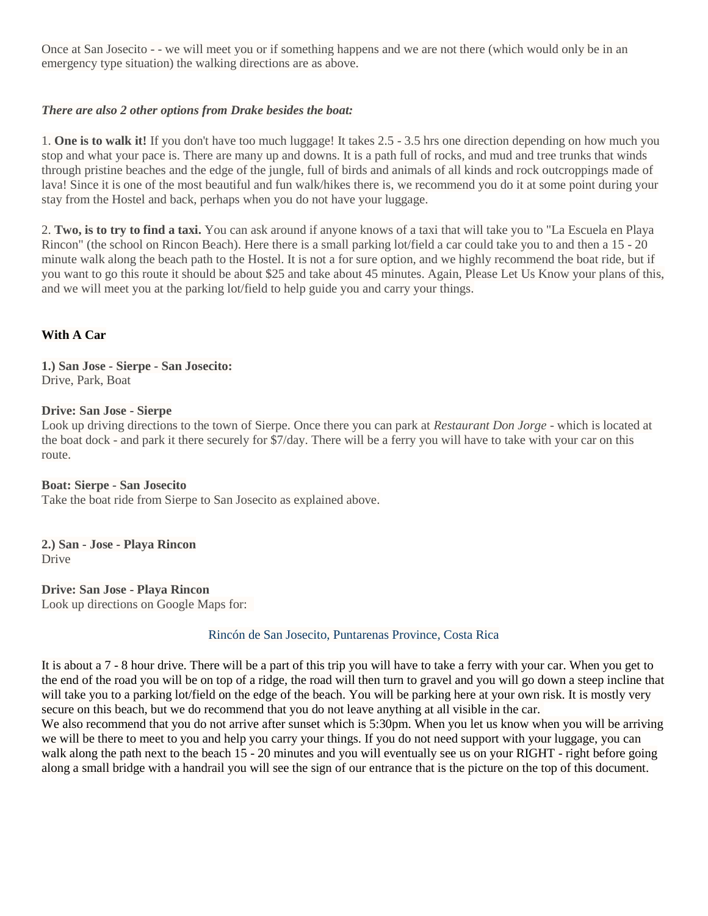Once at San Josecito - - we will meet you or if something happens and we are not there (which would only be in an emergency type situation) the walking directions are as above.

# *There are also 2 other options from Drake besides the boat:*

1. **One is to walk it!** If you don't have too much luggage! It takes 2.5 - 3.5 hrs one direction depending on how much you stop and what your pace is. There are many up and downs. It is a path full of rocks, and mud and tree trunks that winds through pristine beaches and the edge of the jungle, full of birds and animals of all kinds and rock outcroppings made of lava! Since it is one of the most beautiful and fun walk/hikes there is, we recommend you do it at some point during your stay from the Hostel and back, perhaps when you do not have your luggage.

2. **Two, is to try to find a taxi.** You can ask around if anyone knows of a taxi that will take you to "La Escuela en Playa Rincon" (the school on Rincon Beach). Here there is a small parking lot/field a car could take you to and then a 15 - 20 minute walk along the beach path to the Hostel. It is not a for sure option, and we highly recommend the boat ride, but if you want to go this route it should be about \$25 and take about 45 minutes. Again, Please Let Us Know your plans of this, and we will meet you at the parking lot/field to help guide you and carry your things.

# **With A Car**

**1.) San Jose - Sierpe - San Josecito:** Drive, Park, Boat

## **Drive: San Jose - Sierpe**

Look up driving directions to the town of Sierpe. Once there you can park at *Restaurant Don Jorge* - which is located at the boat dock - and park it there securely for \$7/day. There will be a ferry you will have to take with your car on this route.

**Boat: Sierpe - San Josecito** Take the boat ride from Sierpe to San Josecito as explained above.

**2.) San - Jose - Playa Rincon** Drive

**Drive: San Jose - Playa Rincon** Look up directions on Google Maps for:

#### Rincón de San Josecito, Puntarenas Province, Costa Rica

It is about a 7 - 8 hour drive. There will be a part of this trip you will have to take a ferry with your car. When you get to the end of the road you will be on top of a ridge, the road will then turn to gravel and you will go down a steep incline that will take you to a parking lot/field on the edge of the beach. You will be parking here at your own risk. It is mostly very secure on this beach, but we do recommend that you do not leave anything at all visible in the car. We also recommend that you do not arrive after sunset which is 5:30pm. When you let us know when you will be arriving we will be there to meet to you and help you carry your things. If you do not need support with your luggage, you can walk along the path next to the beach 15 - 20 minutes and you will eventually see us on your RIGHT - right before going

along a small bridge with a handrail you will see the sign of our entrance that is the picture on the top of this document.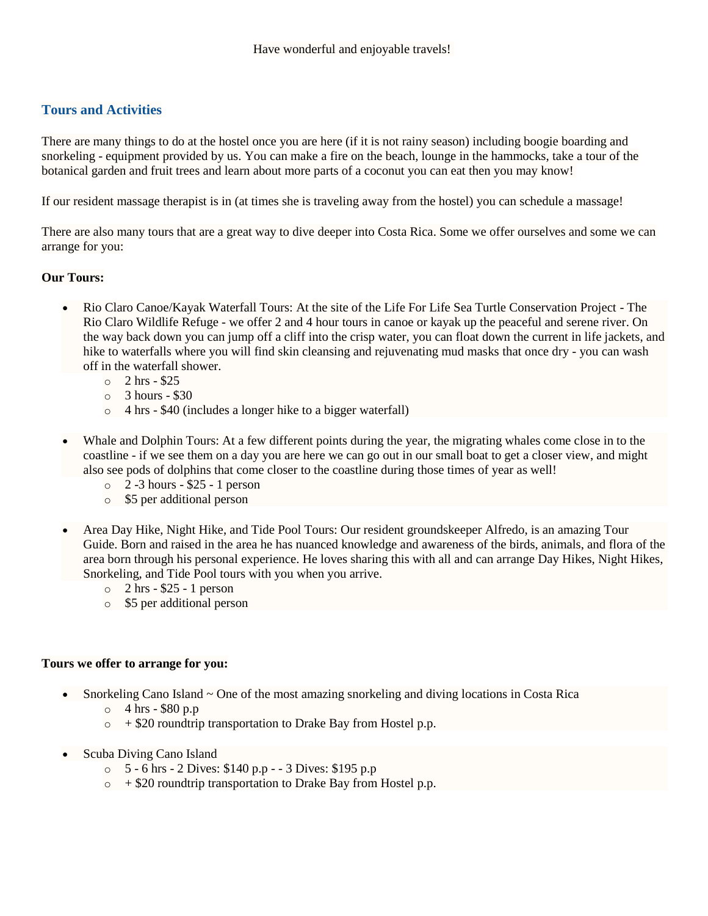# **Tours and Activities**

There are many things to do at the hostel once you are here (if it is not rainy season) including boogie boarding and snorkeling - equipment provided by us. You can make a fire on the beach, lounge in the hammocks, take a tour of the botanical garden and fruit trees and learn about more parts of a coconut you can eat then you may know!

If our resident massage therapist is in (at times she is traveling away from the hostel) you can schedule a massage!

There are also many tours that are a great way to dive deeper into Costa Rica. Some we offer ourselves and some we can arrange for you:

# **Our Tours:**

- Rio Claro Canoe/Kayak Waterfall Tours: At the site of the Life For Life Sea Turtle Conservation Project The Rio Claro Wildlife Refuge - we offer 2 and 4 hour tours in canoe or kayak up the peaceful and serene river. On the way back down you can jump off a cliff into the crisp water, you can float down the current in life jackets, and hike to waterfalls where you will find skin cleansing and rejuvenating mud masks that once dry - you can wash off in the waterfall shower.
	- o 2 hrs \$25
	- $\circ$  3 hours \$30
	- o 4 hrs \$40 (includes a longer hike to a bigger waterfall)
- Whale and Dolphin Tours: At a few different points during the year, the migrating whales come close in to the coastline - if we see them on a day you are here we can go out in our small boat to get a closer view, and might also see pods of dolphins that come closer to the coastline during those times of year as well!
	- o 2 -3 hours \$25 1 person
	- o \$5 per additional person
- Area Day Hike, Night Hike, and Tide Pool Tours: Our resident groundskeeper Alfredo, is an amazing Tour Guide. Born and raised in the area he has nuanced knowledge and awareness of the birds, animals, and flora of the area born through his personal experience. He loves sharing this with all and can arrange Day Hikes, Night Hikes, Snorkeling, and Tide Pool tours with you when you arrive.
	- $\circ$  2 hrs \$25 1 person
	- o \$5 per additional person

#### **Tours we offer to arrange for you:**

- Snorkeling Cano Island ~ One of the most amazing snorkeling and diving locations in Costa Rica
	- $\circ$  4 hrs \$80 p.p
	- $\circ$  + \$20 roundtrip transportation to Drake Bay from Hostel p.p.
- Scuba Diving Cano Island
	- o 5 6 hrs 2 Dives: \$140 p.p - 3 Dives: \$195 p.p
	- $\circ$  + \$20 roundtrip transportation to Drake Bay from Hostel p.p.